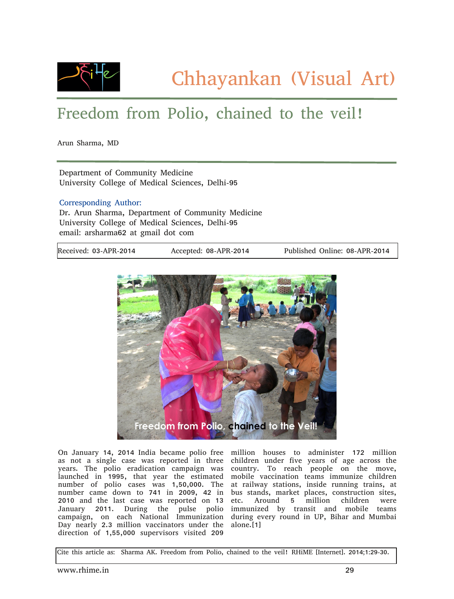

## Freedom from Polio, chained to the veil!

Arun Sharma, MD

Department of Community Medicine University College of Medical Sciences, Delhi-95

## Corresponding Author:

Dr. Arun Sharma, Department of Community Medicine University College of Medical Sciences, Delhi-95 email: arsharma62 at gmail dot com

Received: 03-APR-2014 Accepted: 08-APR-2014 Published Online: 08-APR-2014



On January 14, 2014 India became polio free as not a single case was reported in three years. The polio eradication campaign was launched in 1995, that year the estimated number of polio cases was 1,50,000. The number came down to 741 in 2009, 42 in 2010 and the last case was reported on 13 January 2011. During the pulse polio campaign, on each National Immunization Day nearly 2.3 million vaccinators under the direction of 1,55,000 supervisors visited 209

million houses to administer 172 million children under five years of age across the country. To reach people on the move, mobile vaccination teams immunize children at railway stations, inside running trains, at bus stands, market places, construction sites, etc. Around 5 million children were immunized by transit and mobile teams during every round in UP, Bihar and Mumbai alone.[1]

Cite this article as: Sharma AK. Freedom from Polio, chained to the veil! RHiME [Internet]. 2014;1:29-30.